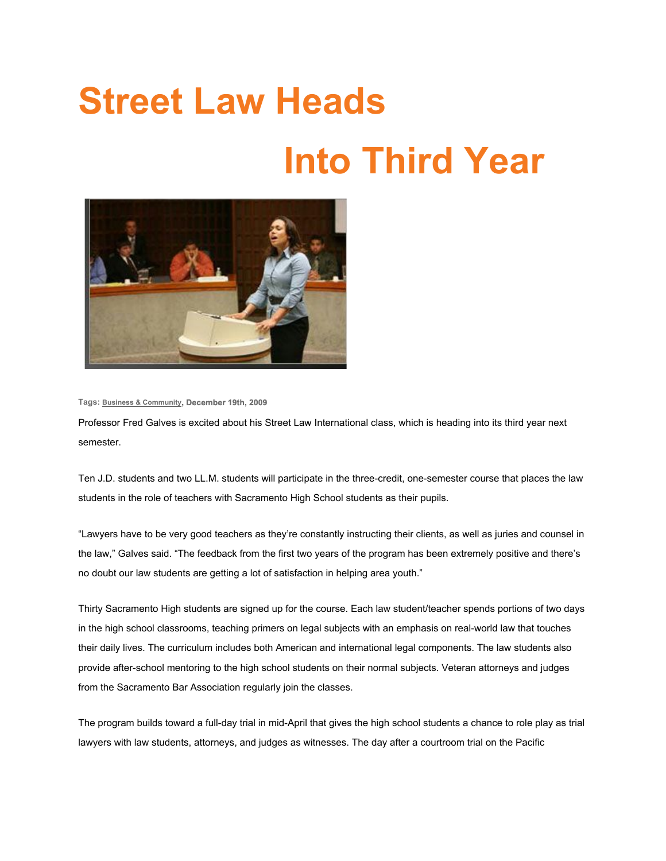## **Street Law Heads Into Third Year**



**Tags: Business & [Community](http://www.mcgeorge.edu/.xml?tag=157), December 19th, 200[9](http://www.mcgeorge.edu/.xml?tag=204)**

Professor Fred Galves is excited about his Street Law International class, which is heading into its third year next semester.

Ten J.D. students and two LL.M. students will participate in the three-credit, one-semester course that places the law students in the role of teachers with Sacramento High School students as their pupils.

"Lawyers have to be very good teachers as they're constantly instructing their clients, as well as juries and counsel in the law," Galves said. "The feedback from the first two years of the program has been extremely positive and there's no doubt our law students are getting a lot of satisfaction in helping area youth."

Thirty Sacramento High students are signed up for the course. Each law student/teacher spends portions of two days in the high school classrooms, teaching primers on legal subjects with an emphasis on real-world law that touches their daily lives. The curriculum includes both American and international legal components. The law students also provide after-school mentoring to the high school students on their normal subjects. Veteran attorneys and judges from the Sacramento Bar Association regularly join the classes.

The program builds toward a full-day trial in mid-April that gives the high school students a chance to role play as trial lawyers with law students, attorneys, and judges as witnesses. The day after a courtroom trial on the Pacific